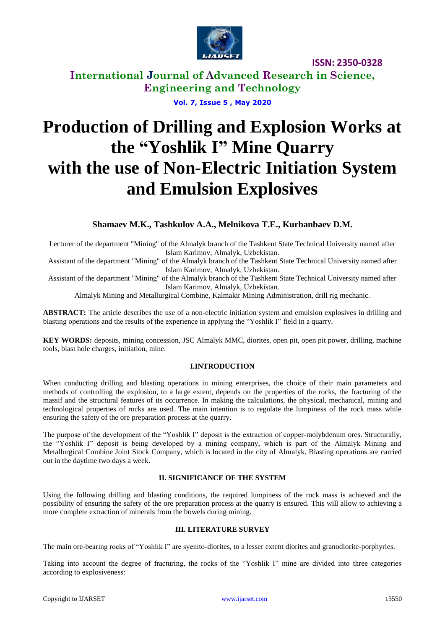

**International Journal of Advanced Research in Science, Engineering and Technology**

**Vol. 7, Issue 5 , May 2020**

# **Production of Drilling and Explosion Works at the "Yoshlik I" Mine Quarry with the use of Non-Electric Initiation System and Emulsion Explosives**

### **Shamaev M.K., Tashkulov A.A., Melnikova T.E., Kurbanbaev D.M.**

Lecturer of the department "Mining" of the Almalyk branch of the Tashkent State Technical University named after Islam Karimov, Almalyk, Uzbekistan.

Assistant of the department "Mining" of the Almalyk branch of the Tashkent State Technical University named after Islam Karimov, Almalyk, Uzbekistan.

Assistant of the department "Mining" of the Almalyk branch of the Tashkent State Technical University named after Islam Karimov, Almalyk, Uzbekistan.

Almalyk Mining and Metallurgical Combine, Kalmakir Mining Administration, drill rig mechanic.

**ABSTRACT:** The article describes the use of a non-electric initiation system and emulsion explosives in drilling and blasting operations and the results of the experience in applying the "Yoshlik I" field in a quarry.

**KEY WORDS:** deposits, mining concession, JSC Almalyk MMC, diorites, open pit, open pit power, drilling, machine tools, blast hole charges, initiation, mine.

#### **I.INTRODUCTION**

When conducting drilling and blasting operations in mining enterprises, the choice of their main parameters and methods of controlling the explosion, to a large extent, depends on the properties of the rocks, the fracturing of the massif and the structural features of its occurrence. In making the calculations, the physical, mechanical, mining and technological properties of rocks are used. The main intention is to regulate the lumpiness of the rock mass while ensuring the safety of the ore preparation process at the quarry.

The purpose of the development of the "Yoshlik I" deposit is the extraction of copper-molybdenum ores. Structurally, the "Yoshlik I" deposit is being developed by a mining company, which is part of the Almalyk Mining and Metallurgical Combine Joint Stock Company, which is located in the city of Almalyk. Blasting operations are carried out in the daytime two days a week.

#### **II. SIGNIFICANCE OF THE SYSTEM**

Using the following drilling and blasting conditions, the required lumpiness of the rock mass is achieved and the possibility of ensuring the safety of the ore preparation process at the quarry is ensured. This will allow to achieving a more complete extraction of minerals from the bowels during mining.

#### **III. LITERATURE SURVEY**

The main ore-bearing rocks of "Yoshlik I" are syenito-diorites, to a lesser extent diorites and granodiorite-porphyries.

Taking into account the degree of fracturing, the rocks of the "Yoshlik I" mine are divided into three categories according to explosiveness: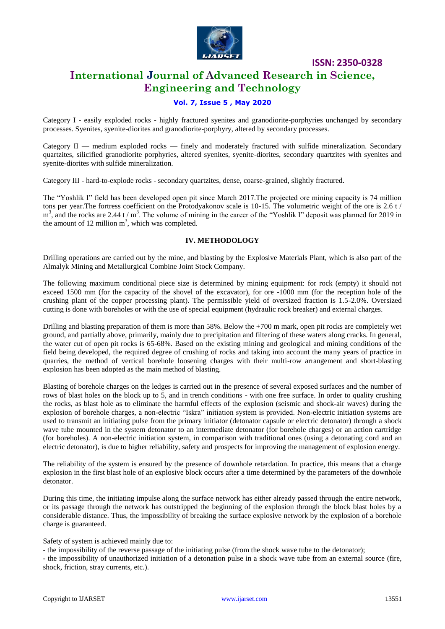

# **International Journal of Advanced Research in Science, Engineering and Technology**

#### **Vol. 7, Issue 5 , May 2020**

Category I - easily exploded rocks - highly fractured syenites and granodiorite-porphyries unchanged by secondary processes. Syenites, syenite-diorites and granodiorite-porphyry, altered by secondary processes.

Category II — medium exploded rocks — finely and moderately fractured with sulfide mineralization. Secondary quartzites, silicified granodiorite porphyries, altered syenites, syenite-diorites, secondary quartzites with syenites and syenite-diorites with sulfide mineralization.

Category III - hard-to-explode rocks - secondary quartzites, dense, coarse-grained, slightly fractured.

The "Yoshlik I" field has been developed open pit since March 2017.The projected ore mining capacity is 74 million tons per year.The fortress coefficient on the Protodyakonov scale is 10-15. The volumetric weight of the ore is 2.6 t /  $m<sup>3</sup>$ , and the rocks are 2.44 t /  $m<sup>3</sup>$ . The volume of mining in the career of the "Yoshlik I" deposit was planned for 2019 in the amount of 12 million  $m<sup>3</sup>$ , which was completed.

#### **IV. METHODOLOGY**

Drilling operations are carried out by the mine, and blasting by the Explosive Materials Plant, which is also part of the Almalyk Mining and Metallurgical Combine Joint Stock Company.

The following maximum conditional piece size is determined by mining equipment: for rock (empty) it should not exceed 1500 mm (for the capacity of the shovel of the excavator), for ore -1000 mm (for the reception hole of the crushing plant of the copper processing plant). The permissible yield of oversized fraction is 1.5-2.0%. Oversized cutting is done with boreholes or with the use of special equipment (hydraulic rock breaker) and external charges.

Drilling and blasting preparation of them is more than 58%. Below the +700 m mark, open pit rocks are completely wet ground, and partially above, primarily, mainly due to precipitation and filtering of these waters along cracks. In general, the water cut of open pit rocks is 65-68%. Based on the existing mining and geological and mining conditions of the field being developed, the required degree of crushing of rocks and taking into account the many years of practice in quarries, the method of vertical borehole loosening charges with their multi-row arrangement and short-blasting explosion has been adopted as the main method of blasting.

Blasting of borehole charges on the ledges is carried out in the presence of several exposed surfaces and the number of rows of blast holes on the block up to 5, and in trench conditions - with one free surface. In order to quality crushing the rocks, as blast hole as to eliminate the harmful effects of the explosion (seismic and shock-air waves) during the explosion of borehole charges, a non-electric "Iskra" initiation system is provided. Non-electric initiation systems are used to transmit an initiating pulse from the primary initiator (detonator capsule or electric detonator) through a shock wave tube mounted in the system detonator to an intermediate detonator (for borehole charges) or an action cartridge (for boreholes). A non-electric initiation system, in comparison with traditional ones (using a detonating cord and an electric detonator), is due to higher reliability, safety and prospects for improving the management of explosion energy.

The reliability of the system is ensured by the presence of downhole retardation. In practice, this means that a charge explosion in the first blast hole of an explosive block occurs after a time determined by the parameters of the downhole detonator.

During this time, the initiating impulse along the surface network has either already passed through the entire network, or its passage through the network has outstripped the beginning of the explosion through the block blast holes by a considerable distance. Thus, the impossibility of breaking the surface explosive network by the explosion of a borehole charge is guaranteed.

Safety of system is achieved mainly due to:

- the impossibility of the reverse passage of the initiating pulse (from the shock wave tube to the detonator);

- the impossibility of unauthorized initiation of a detonation pulse in a shock wave tube from an external source (fire, shock, friction, stray currents, etc.).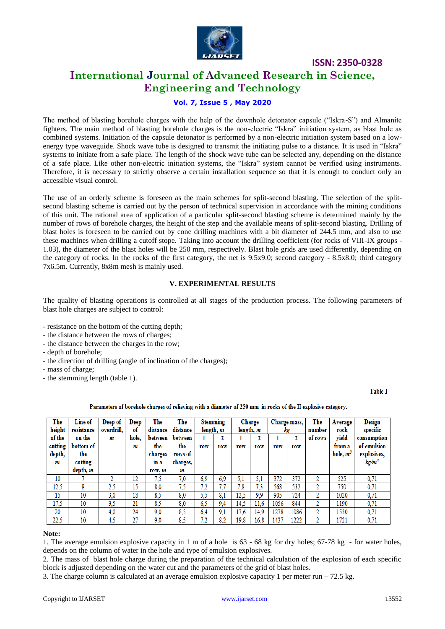

## **International Journal of Advanced Research in Science, Engineering and Technology**

#### **Vol. 7, Issue 5 , May 2020**

The method of blasting borehole charges with the help of the downhole detonator capsule ("Iskra-S") and Almanite fighters. The main method of blasting borehole charges is the non-electric "Iskra" initiation system, as blast hole as combined systems. Initiation of the capsule detonator is performed by a non-electric initiation system based on a lowenergy type waveguide. Shock wave tube is designed to transmit the initiating pulse to a distance. It is used in "Iskra" systems to initiate from a safe place. The length of the shock wave tube can be selected any, depending on the distance of a safe place. Like other non-electric initiation systems, the "Iskra" system cannot be verified using instruments. Therefore, it is necessary to strictly observe a certain installation sequence so that it is enough to conduct only an accessible visual control.

The use of an orderly scheme is foreseen as the main schemes for split-second blasting. The selection of the splitsecond blasting scheme is carried out by the person of technical supervision in accordance with the mining conditions of this unit. The rational area of application of a particular split-second blasting scheme is determined mainly by the number of rows of borehole charges, the height of the step and the available means of split-second blasting. Drilling of blast holes is foreseen to be carried out by cone drilling machines with a bit diameter of 244.5 mm, and also to use these machines when drilling a cutoff stope. Taking into account the drilling coefficient (for rocks of VIII-IX groups - 1.03), the diameter of the blast holes will be 250 mm, respectively. Blast hole grids are used differently, depending on the category of rocks. In the rocks of the first category, the net is 9.5x9.0; second category - 8.5x8.0; third category 7x6.5m. Currently, 8x8m mesh is mainly used.

#### **V. EXPERIMENTAL RESULTS**

The quality of blasting operations is controlled at all stages of the production process. The following parameters of blast hole charges are subject to control:

- resistance on the bottom of the cutting depth;
- the distance between the rows of charges;
- the distance between the charges in the row;
- depth of borehole;
- the direction of drilling (angle of inclination of the charges);
- mass of charge;
- the stemming length (table 1).

Table 1

#### Parameters of borehole charges of relieving with a diameter of 250 mm in rocks of the II explosive category.

| The<br>height     | Line of<br>resistance | Deep of<br>overdrill. | Deep<br>of | The<br>distance | The<br><b>Stemming</b><br>distance<br>length, m |     |     | Charge<br>length, m |      | Charge mass,<br>kg |      | The<br>number | Average<br>rock       | <b>Design</b><br>specific  |
|-------------------|-----------------------|-----------------------|------------|-----------------|-------------------------------------------------|-----|-----|---------------------|------|--------------------|------|---------------|-----------------------|----------------------------|
| of the            | on the                | m                     | hole.      | between<br>the  | between<br>the                                  |     | 2   |                     | 2    |                    | 2    | of rows       | vield                 | consumption<br>of emulsion |
| cutting<br>depth, | bottom of<br>the      |                       | m          | charges         | rows of                                         | row | row | row                 | row  | row                | row  |               | from a<br>hole, $m^3$ | explosives,                |
| m                 | cutting               |                       |            | in a            | charges,                                        |     |     |                     |      |                    |      |               |                       | kg/m <sup>3</sup>          |
|                   | depth, m              |                       |            | row, m          | m                                               |     |     |                     |      |                    |      |               |                       |                            |
| 10                |                       | 2                     | 12         | 7.5             | 7,0                                             | 6,9 | 6.9 | 5,1                 | 5,1  | 372                | 372  | Δ             | 525                   | 0,71                       |
| 12,5              | 8                     | 2,5                   | 15         | 8,0             | 7,5                                             | 7,2 | 7,7 | 7,8                 | 7,3  | 568                | 532  | n             | 750                   | 0,71                       |
| 15                | 10                    | 3,0                   | 18         | 8,5             | 8,0                                             | 5,5 | 8,1 | 12,5                | 9,9  | 905                | 724  | Δ             | 1020                  | 0,71                       |
| 17,5              | 10                    | 3,5                   | 21         | 8,5             | 8,0                                             | 6,5 | 9,4 | 14.5                | 11.6 | 1056               | 844  | n             | 1190                  | 0,71                       |
| 20                | 10                    | 4,0                   | 24         | 9.0             | 8.5                                             | 6,4 | 9,1 | 17.6                | 14.9 | 1278               | 1086 | n             | 1530                  | 0,71                       |
| 22,5              | 10                    | 4,5                   | 27         | 9,0             | 8,5                                             | 7,2 | 8,2 | 19,8                | 16,8 | 1437               | 1222 | Δ             | 1721                  | 0,71                       |

#### **Note:**

1. The average emulsion explosive capacity in 1 m of a hole is 63 - 68 kg for dry holes; 67-78 kg - for water holes, depends on the column of water in the hole and type of emulsion explosives.

2. The mass of blast hole charge during the preparation of the technical calculation of the explosion of each specific block is adjusted depending on the water cut and the parameters of the grid of blast holes.

3. The charge column is calculated at an average emulsion explosive capacity 1 per meter run – 72.5 kg.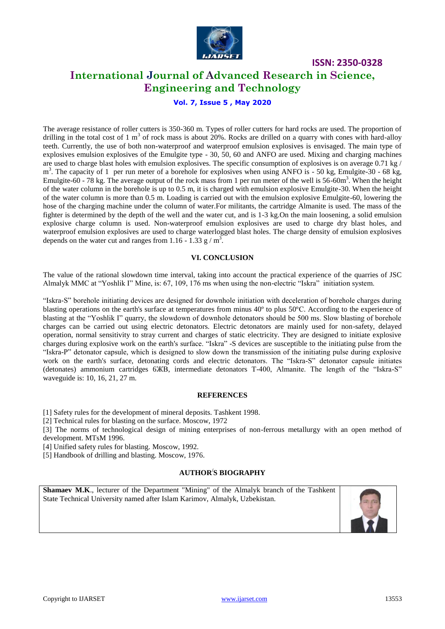

# **International Journal of Advanced Research in Science, Engineering and Technology**

#### **Vol. 7, Issue 5 , May 2020**

The average resistance of roller cutters is 350-360 m. Types of roller cutters for hard rocks are used. The proportion of drilling in the total cost of 1 m<sup>3</sup> of rock mass is about  $20\%$ . Rocks are drilled on a quarry with cones with hard-alloy teeth. Currently, the use of both non-waterproof and waterproof emulsion explosives is envisaged. The main type of explosives emulsion explosives of the Emulgite type - 30, 50, 60 and ANFO are used. Mixing and charging machines are used to charge blast holes with emulsion explosives. The specific consumption of explosives is on average  $0.71 \text{ kg}$ / m<sup>3</sup>. The capacity of 1 per run meter of a borehole for explosives when using ANFO is - 50 kg, Emulgite-30 - 68 kg, Emulgite-60 - 78 kg. The average output of the rock mass from 1 per run meter of the well is  $56{\text -}60\text{m}^3$ . When the height of the water column in the borehole is up to 0.5 m, it is charged with emulsion explosive Emulgite-30. When the height of the water column is more than 0.5 m. Loading is carried out with the emulsion explosive Emulgite-60, lowering the hose of the charging machine under the column of water.For militants, the cartridge Almanite is used. The mass of the fighter is determined by the depth of the well and the water cut, and is 1-3 kg.On the main loosening, a solid emulsion explosive charge column is used. Non-waterproof emulsion explosives are used to charge dry blast holes, and waterproof emulsion explosives are used to charge waterlogged blast holes. The charge density of emulsion explosives depends on the water cut and ranges from 1.16 - 1.33 g /  $m^3$ .

#### **VI. CONCLUSION**

The value of the rational slowdown time interval, taking into account the practical experience of the quarries of JSC Almalyk MMC at "Yoshlik I" Mine, is: 67, 109, 176 ms when using the non-electric "Iskra" initiation system.

"Iskra-S" borehole initiating devices are designed for downhole initiation with deceleration of borehole charges during blasting operations on the earth's surface at temperatures from minus 40<sup>°</sup> to plus 50<sup>°</sup>C. According to the experience of blasting at the "Yoshlik I" quarry, the slowdown of downhole detonators should be 500 ms. Slow blasting of borehole charges can be carried out using electric detonators. Electric detonators are mainly used for non-safety, delayed operation, normal sensitivity to stray current and charges of static electricity. They are designed to initiate explosive charges during explosive work on the earth's surface. "Iskra" -S devices are susceptible to the initiating pulse from the "Iskra-P" detonator capsule, which is designed to slow down the transmission of the initiating pulse during explosive work on the earth's surface, detonating cords and electric detonators. The "Iskra-S" detonator capsule initiates (detonates) ammonium cartridges 6ЖВ, intermediate detonators T-400, Almanite. The length of the "Iskra-S" waveguide is: 10, 16, 21, 27 m.

#### **REFERENCES**

[1] Safety rules for the development of mineral deposits. Tashkent 1998.

[2] Technical rules for blasting on the surface. Moscow, 1972

[3] The norms of technological design of mining enterprises of non-ferrous metallurgy with an open method of development. MTsM 1996.

[4] Unified safety rules for blasting. Moscow, 1992.

[5] Handbook of drilling and blasting. Moscow, 1976.

#### **AUTHOR/ S BIOGRAPHY**

**Shamaev M.K**., lecturer of the Department "Mining" of the Almalyk branch of the Tashkent State Technical University named after Islam Karimov, Almalyk, Uzbekistan.



**ISSN: 2350-0328**